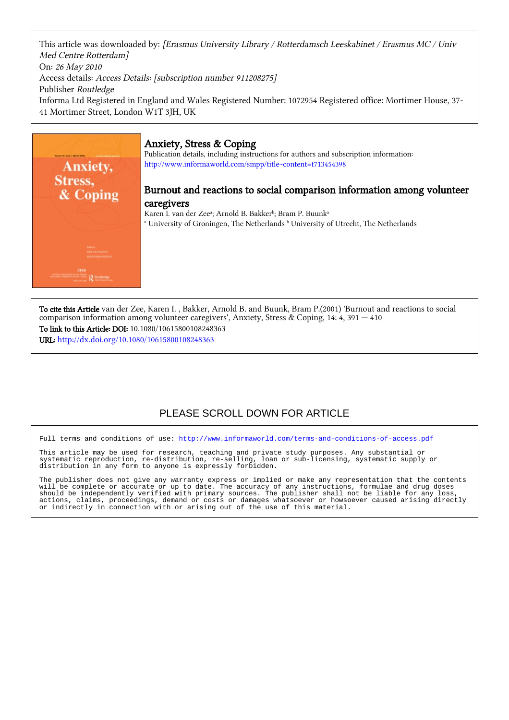This article was downloaded by: [Erasmus University Library / Rotterdamsch Leeskabinet / Erasmus MC / Univ Med Centre Rotterdam] On: 26 May 2010 Access details: Access Details: [subscription number 911208275] Publisher Routledge Informa Ltd Registered in England and Wales Registered Number: 1072954 Registered office: Mortimer House, 37- 41 Mortimer Street, London W1T 3JH, UK



## Anxiety, Stress & Coping

Publication details, including instructions for authors and subscription information: <http://www.informaworld.com/smpp/title~content=t713454398>

## Burnout and reactions to social comparison information among volunteer caregivers

Karen I. van der Zeeª; Arnold B. Bakker<sup>b</sup>; Bram P. Buunk<sup>a</sup> <sup>a</sup> University of Groningen, The Netherlands b University of Utrecht, The Netherlands

To cite this Article van der Zee, Karen I. , Bakker, Arnold B. and Buunk, Bram P.(2001) 'Burnout and reactions to social comparison information among volunteer caregivers', Anxiety, Stress & Coping, 14: 4, 391 — 410 To link to this Article: DOI: 10.1080/10615800108248363 URL: <http://dx.doi.org/10.1080/10615800108248363>

# PLEASE SCROLL DOWN FOR ARTICLE

Full terms and conditions of use:<http://www.informaworld.com/terms-and-conditions-of-access.pdf>

This article may be used for research, teaching and private study purposes. Any substantial or systematic reproduction, re-distribution, re-selling, loan or sub-licensing, systematic supply or systematic reproduction, re-distribution, re-selling, loan distribution in any form to anyone is expressly forbidden.

The publisher does not give any warranty express or implied or make any representation that the contents will be complete or accurate or up to date. The accuracy of any instructions, formulae and drug doses should be independently verified with primary sources. The publisher shall not be liable for any loss, actions, claims, proceedings, demand or costs or damages whatsoever or howsoever caused arising directly or indirectly in connection with or arising out of the use of this material.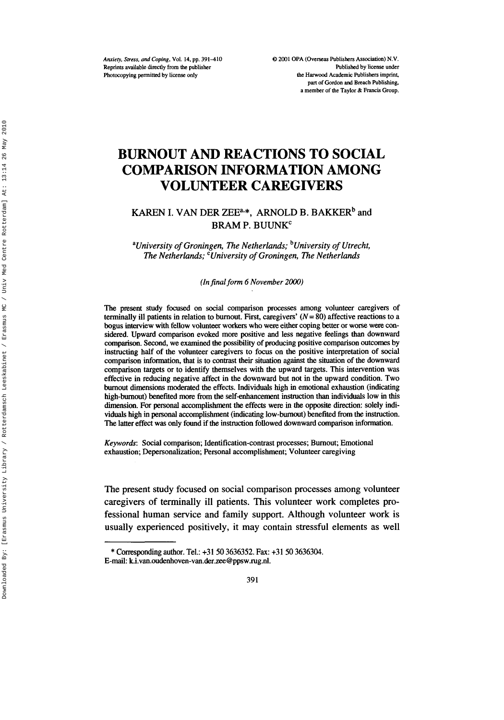**Anxiety, Stress,** *and* **Coping, Vol. 14, pp, 391410 Reprins available directly from the publisher Photocopying** permitted **by license only** 

*8* **2001 OPA (Overseas Publishers Association) N.V. Publisted by** license **under the** Harwwd **Academic Publishers imprinf pan of Gordon and Breach Publishing, a member of the Taylor** & **Francis Group.** 

# **BURNOUT AND REACTIONS TO SOCIAL COMPARISON INFORMATION AMONG VOLUNTEER CAREGIVERS**

## KAREN I. VAN DER ZEE<sup>a,\*</sup>, ARNOLD B. BAKKER<sup>b</sup> and **BRAM** P. BUUNK'

**"University** *of* **Groningen, The Netherlands; bUniversity** *of* **Utrecht, The Netherlands; 'University** *of* **Groningen, The Netherlands** 

*(In final form 6 November 2000)* 

The present study focused on social comparison processes among volunteer caregivers of terminally ill patients in relation to burnout. First, caregivers' *(N= 80)* affective reactions to a **bogus** interview with fellow volunteer **wohrs** who were either coping better or worse were considered. Upward comparison evoked more positive and less negative feelings **than** downward comparison. Second, we examined **the** possibility of producing positive comparison outcomes by instructing half of the volunteer caregivers to focus on the positive interpretation of social comparison information, that is to contrast their situation against the situation of the downward comparison targets or to identify themselves with the upward targets. This intervention was effective in reducing negative affect in the downward but not in the upward condition. Two burnout dimensions moderated the effects. Individuals high in emotional exhaustion (indicating high-burnout) benefited more from the self-enhancement instruction than individuals low in this dimension. For personal accomplishment **the** effects were in **the** opposite direction: solely individuals high in penonal accomplishment (indicating low-burnout) benefited from **the** instruction. The latter effect was only found if **the** instruction followed downward comparison information.

*Keywords:* Social comparison; Identification-contrast processes; Burnout; Emotional exhaustion; Depersonalization; Personal accomplishment; Volunteer caregiving

The present study focused on social comparison processes among volunteer caregivers of terminally ill patients. This volunteer work completes professional human service and family support. Although volunteer work is usually experienced positively, it may contain stressful elements as well

**391** 

<sup>\*</sup> Corresponding author. Tel.: **+3150 3636352. Fax: t3150 3636304.** 

**E-mail: k.i.van.oudenhoven-van.&r.zee@ppsw.rug.nl.**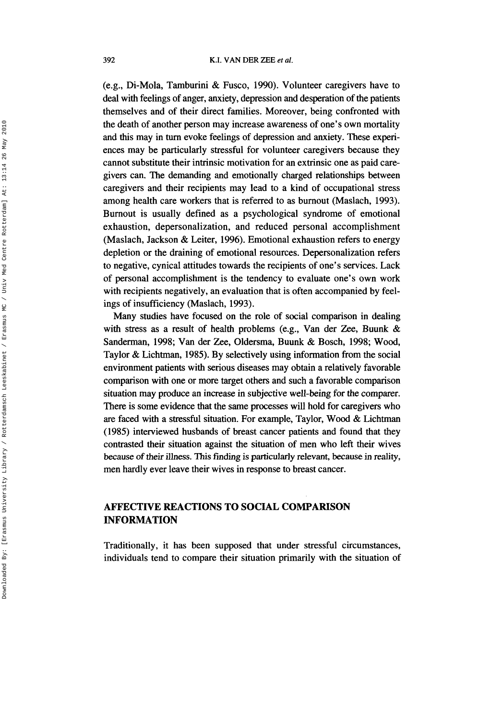(e.g., Di-Mola, Tamburini & Fusco, 1990). Volunteer caregivers have to deal with feelings of anger, anxiety, depression and desperation of the patients themselves and of their direct families. Moreover, being confronted with the death of another person may increase awareness of one's own mortality and this may in **turn** evoke feelings of depression and anxiety. These experiences may be particularly stressful for volunteer caregivers because they cannot substitute their intrinsic motivation for an extrinsic one as paid caregivers can. The demanding and emotionally charged relationships between caregivers and their recipients may lead to a kind of occupational stress among health care workers that is referred to as burnout (Maslach, 1993). Burnout is usually defined as a psychological syndrome of emotional exhaustion, depersonalization, and reduced personal accomplishment (Maslach, Jackson & Leiter, 1996). Emotional exhaustion refers to energy depletion or the draining of emotional resources. Depersonalization refers to negative, cynical attitudes towards the recipients of one's services. Lack of personal accomplishment is the tendency to evaluate one's own work with recipients negatively, an evaluation that is often accompanied by feelings of insufficiency (Maslach, 1993).

Many studies have focused on the role of social comparison in dealing with stress **as** a result of health problems (e.g., Van der Zee, Buunk & Sanderman, 1998; Van der Zee, Oldersma, Buunk & Bosch, 1998; Wood, Taylor & Lichtman, 1985). By selectively using information from the social environment patients with serious diseases may obtain a relatively favorable comparison with one or more target others and such a favorable comparison situation may produce an increase in subjective well-being for the comparer. There is some evidence that the same processes will hold for caregivers who are faced with a stressful situation. For example, Taylor, Wood & Lichtman (1985) interviewed husbands of breast cancer patients and found that they contrasted their situation against the situation of men who left their wives because **of** their illness. This finding is particularly relevant, because in reality, men hardly ever leave their wives in response to breast cancer.

## **AFFECTIVE REACTIONS TO SOCIAL COMPARISON INFORMATION**

Traditionally, it has been supposed that under stressful circumstances, individuals tend to compare their situation primarily with the situation of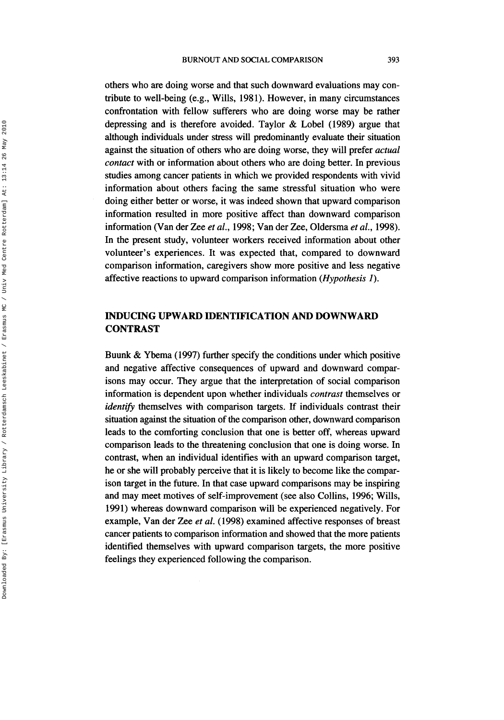others who are doing worse and that such downward evaluations may contribute to well-being (e.g., Wills, **1981).** However, in many circumstances confrontation with fellow sufferers who are doing worse may be rather depressing and is therefore avoided. Taylor & Lobe1 **(1989)** argue that although individuals under stress will predominantly evaluate their situation against the situation of others who are doing worse, they will prefer *actual contact* with or information about others who are doing better. In previous studies among cancer patients in which we provided respondents with vivid information about others facing the same stressful situation who were doing either better or worse, it was indeed shown that upward comparison information resulted in more positive affect than downward comparison information (Van der Zee *et al.,* **1998;** Van der Zee, Oldersma et al., **1998).**  In the present study, volunteer workers received information about other volunteer's experiences. It was expected that, compared to downward comparison information, caregivers show more positive and less negative affective reactions to upward comparison information *(Hypothesis 1).* 

### **INDUCING UPWARD IDENTIFICATION AND DOWNWARD CONTRAST**

Buunk & Ybema **(1997)** further specify the conditions under which positive and negative affective consequences of upward and downward comparisons may occur. They argue that the interpretation of social comparison information is dependent upon whether individuals *contrast* themselves or *identify* themselves with comparison targets. If individuals contrast their situation against the situation of the comparison other, downward comparison leads to the comforting conclusion that one is better off, whereas upward comparison leads to the threatening conclusion that one is doing worse. In contrast, when an individual identifies with an upward comparison target, he or she will probably perceive that it is likely to become like the comparison target in the future. In that case upward comparisons may be inspiring and may meet motives of self-improvement (see also Collins, **1996;** Wills, **1991)** whereas downward comparison will be experienced negatively. For example, Van der Zee *et al.* **(1998)** examined affective responses of breast cancer patients to comparison information and showed that the more patients identified themselves with upward comparison targets, the more positive feelings they experienced following the comparison.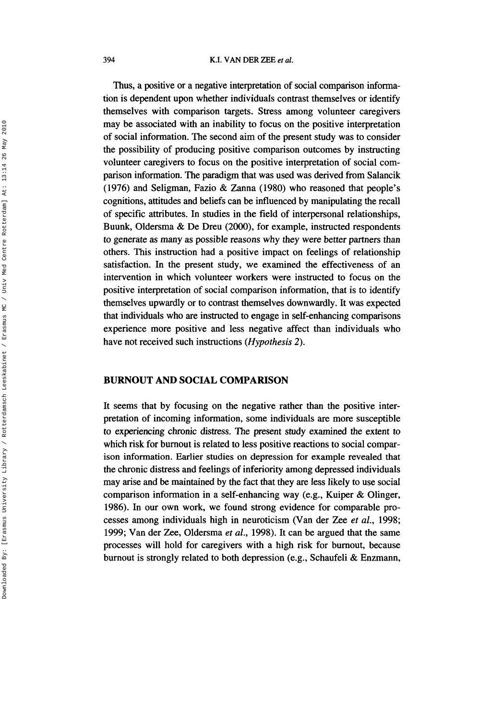#### **394 K.I. VAN DER ZEE** *et* **al.**

Thus, a positive or a negative interpretation of social comparison information is dependent upon whether individuals contrast themselves or identify themselves with comparison targets. Stress among volunteer caregivers may be associated with an inability to focus on the positive interpretation of social information. The second aim of the present study was to consider the possibility of producing positive comparison outcomes by instructing volunteer caregivers to focus on the positive interpretation of social comparison information. The paradigm that was used was derived from Salancik (1976) and Seligman, Fazio & Zanna (1980) who reasoned that people's cognitions, attitudes and beliefs can be influenced by manipulating the recall of specific attributes. In studies in the field of interpersonal relationships, Buunk, Oldersma & De Dreu (2000), for example, instructed respondents to generate **as** many as possible reasons why they were better partners than others. This instruction had a positive impact on feelings of relationship satisfaction. In the present siudy, we examined the effectiveness of an intervention in which volunteer workers were instructed to focus on the positive interpretation of social comparison information, that is to identify themselves upwardly or to contrast themselves downwardly. It was expected that individuals who are instructed to engage in self-enhancing comparisons experience more positive and less negative affect than individuals who have not received such instructions (*Hypothesis 2*).

#### **BURNOUT AND SOCIAL COMPARISON**

It seems that by focusing on the negative rather than the positive interpretation of incoming information, some individuals are more susceptible to experiencing chronic distress. The present study examined the extent to which risk for burnout is related to less positive reactions to social comparison information. Earlier studies on depression for example revealed that the chronic distress and feelings of inferiority among depressed individuals may arise and be maintained by the fact that they are less likely to use social comparison information in a self-enhancing way (e.g., Kuiper & Olinger, 1986). In our own work, we found strong evidence for comparable processes among individuals high in neuroticism (Van der Zee *ef d.,* 1998; 1999; Van der Zee, Oldersma et *al.,* 1998). It can be argued that the same processes will hold for caregivers with a high risk for burnout, because burnout is strongly related to both depression (e.g., Schaufeli & Enzmann,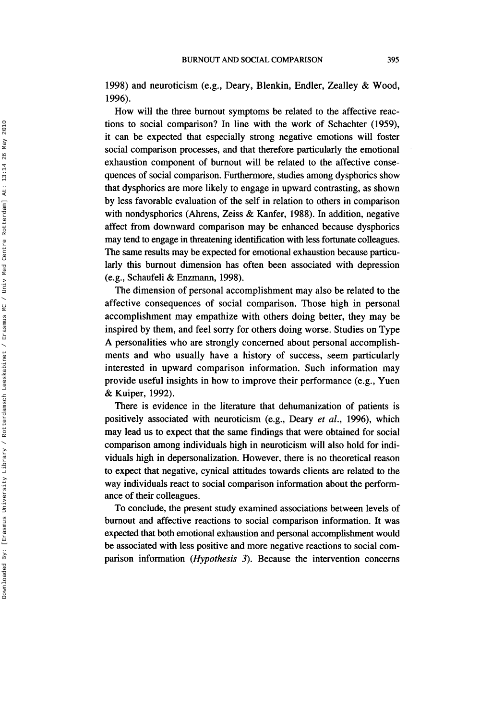**1998)** and neuroticism (e.g., Deary, Blenkin, Endler, Zealley & Wood, **1996).** 

How will the **three** burnout symptoms be related to the affective reactions to social comparison? In line with the work of Schachter **(1959),**  it can be expected that especially strong negative emotions will foster social comparison processes, and that therefore particularly the emotional exhaustion component of burnout will be related to the affective consequences of social comparison. Furthermore, studies among dysphorics show that dysphorics are more likely to engage in upward contrasting, as shown by less favorable evaluation of the self in relation to others in comparison with nondysphorics (Ahrens, Zeiss & Kanfer, **1988).** In addition, negative affect from downward comparison may be enhanced because dysphorics may tend to engage in threatening identification with less fortunate colleagues. The same results may be expected for emotional exhaustion because particularly this burnout dimension has often been associated with depression (e.g., Schaufeli & Enzmann, **1998).** 

The dimension of personal accomplishment may also be related to the affective consequences of social comparison. Those high in personal accomplishment may empathize with others doing better, they may be inspired by them, and feel *sorry* for others doing worse. Studies on Type A personalities who are strongly concerned about personal accomplishments and who usually have a history of success, seem particularly interested in upward comparison information. Such information may provide useful insights in how to improve their performance (e.g., Yuen & Kuiper, **1992).** 

There is evidence in the literature that dehumanization of patients is positively associated with neuroticism (e.g., Deary et *al.,* **1996),** which may lead us to expect that the same findings that were obtained for social comparison among individuals high in neuroticism will also hold for individuals high in depersonalization. However, there is no theoretical reason to expect that negative, cynical attitudes towards clients are related to the way individuals react to social comparison information about the performance of their colleagues.

To conclude, the present study examined associations between levels of burnout and affective reactions to social comparison information. It was expected that both emotional exhaustion and personal accomplishment would be associated with less positive and more negative reactions to social comparison information  $(Hypothesis 3)$ . Because the intervention concerns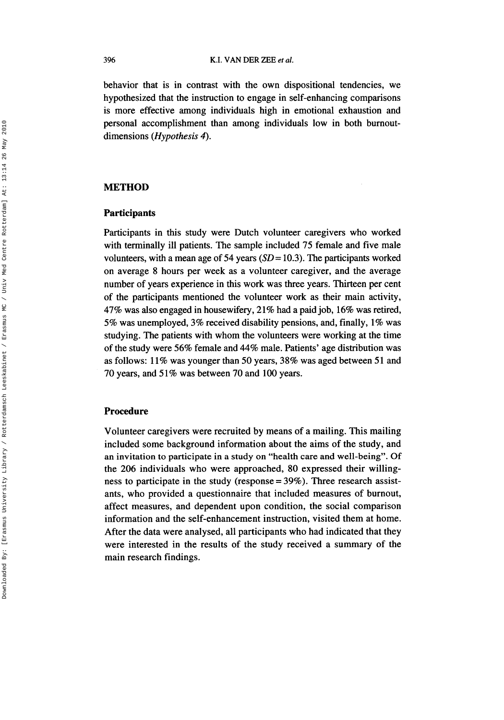behavior that is in contrast with the own dispositional tendencies, we hypothesized that the instruction to engage in self-enhancing comparisons is more effective among individuals high in emotional exhaustion and personal accomplishment than among individuals low in both burnoutdimensions (Hypothesis *4).* 

#### **METHOD**

#### **Participants**

Participants in this study were Dutch volunteer caregivers who worked with terminally ill patients. The sample included 75 female and five male volunteers, with a mean age of 54 years  $(SD = 10.3)$ . The participants worked on average 8 hours per week as a volunteer caregiver, and the average number of years experience in this work was three years. Thirteen per cent of the participants mentioned the volunteer work as their main activity, 47% was also engaged in housewifery, 21% had a paid job, 16% was retired, 5% was unemployed, 3% received disability pensions, and, finally, 1% was studying. The patients with whom the volunteers were working at the time of the study were 56% female and 44% male. Patients' age distribution was as follows: 11% was younger than 50 years, 38% was aged between 51 and 70 years, and 51% was between 70 and 100 years.

#### **Procedure**

Volunteer caregivers were recruited by means of a mailing. This mailing included some background information about the aims of the study, and **an invitation to participate in a study on "health care and well-being". Of**  the 206 individuals who were approached, 80 expressed their willingness to participate in the study (response = 39%). Three research assistants, who provided a questionnaire that included measures of burnout, affect measures, and dependent upon condition, the social comparison information and the self-enhancement instruction, visited them at home. After the data were analysed, all participants who had indicated that they were interested in the results of the study received a summary of the main research findings.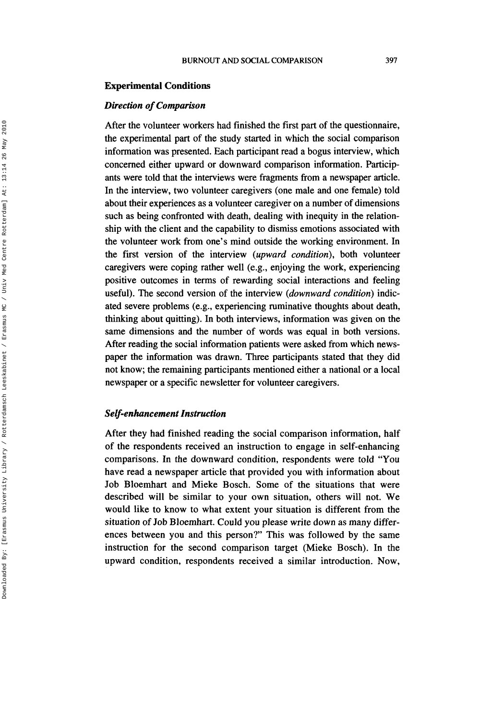#### **Experimental Conditions**

#### *Direction of Comparison*

After the volunteer workers had finished the first part of the questionnaire, the experimental part of the study started in which the social comparison information was presented. Each participant read a bogus interview, which concerned either upward or downward comparison information. Particip**ants** were told that the interviews were fragments from a newspaper article. In the interview, two volunteer caregivers (one male and one female) told about their experiences as a volunteer caregiver on a number of dimensions such as being confronted with death, dealing with inequity in the relationship with the client and the capability to dismiss emotions associated with the volunteer work from one's mind outside the working environment. In the first version of the interview *(upward condition)*, both volunteer caregivers were coping rather well (e.g., enjoying the work, experiencing positive outcomes in terms of rewarding social interactions and feeling useful). The second version of the interview *(downward condition)* indicated severe problems (e.g., experiencing ruminative thoughts about death, thinking about quitting). In both interviews, information was given on the same dimensions and the number of words was equal in both versions. After reading the social information patients were asked from which newspaper the information was drawn. Three participants stated that they did not know; the remaining participants mentioned either a national or a local newspaper or a specific newsletter for volunteer caregivers.

### *Self-enhancement Instruction*

After they had finished reading the social comparison information, half of the respondents received an instruction to engage in self-enhancing comparisons. In the downward condition, respondents were told "You have read a newspaper article that provided you with information about Job Bloemhart and Mieke Bosch. Some of the situations that were described will be similar to your own situation, others will not. We would like to know to what extent your situation is different from the situation of Job Bloemhart. Could you please write down as many differences between you and this person?" This was followed by the same instruction for the second comparison target (Mieke Bosch). In the upward condition, respondents received a similar introduction. Now,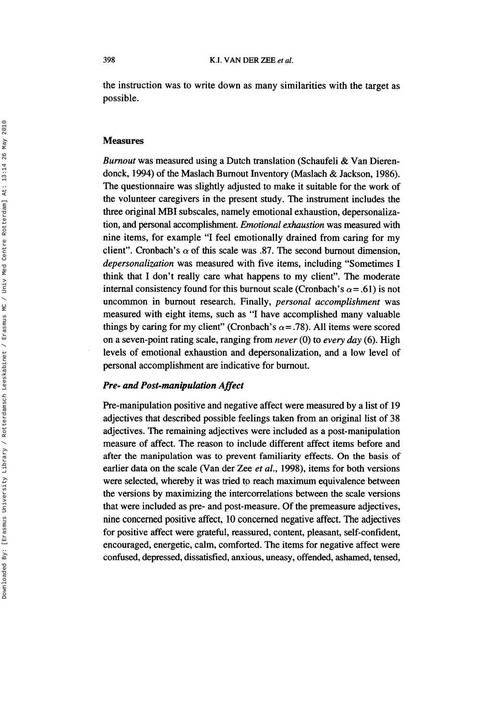the instruction was to write down as many similarities with the target as possible.

#### **Measures**

*Burnout* was measured using a Dutch translation (Schaufeli & Van Dierendonck, **1994)** of the Maslach Burnout Inventory (Maslach & Jackson, **1986).**  The questionnaire was slightly adjusted to make it suitable for the work of the volunteer caregivers in the present study. The instrument includes the three original MBI subscales, namely emotional exhaustion, depersonalization, and personal accomplishment. *Emotional exhaustion* was measured with nine items, for example "I feel emotionally drained from caring for my client". Cronbach's  $\alpha$  of this scale was .87. The second burnout dimension, *depersonalization* was measured with five items, including "Sometimes I think that I don't really care what happens to my client". The moderate internal consistency found for this burnout scale (Cronbach's  $\alpha$  = **.61**) is not uncommon in burnout research. Finally, *personal accomplishment* was measured with eight items, such as "I have accomplished many valuable things by caring for my client" (Cronbach's  $\alpha$  = .78). All items were scored on a seven-point rating scale, ranging from *never* (0) to *every day* **(6).** High levels of emotional exhaustion and depersonalization, and a low level of personal accomplishment are indicative for burnout.

#### *Pre- and Post-manipulation Affect*

Re-manipulation positive and negative affect were measured by a list of **19**  adjectives that described possible feelings taken from an original list of **38**  adjectives. The remaining adjectives were included as a post-manipulation measure of affect. The reason to include different affect items before and after the manipulation was to prevent familiarity **effects.** On **the** basis of earlier data on the scale (Van der Zee *et al.,* **1998),** items for both versions were selected, whereby it was tried to reach maximum equivalence between the versions by maximizing the intercorrelations between the scale versions that were included as pre- and post-measure. Of the premeasure adjectives, nine concerned positive affect, **10** concerned negative affect. The adjectives for positive affect were grateful, reassured, content, pleasant, self-confident, encouraged, energetic, calm, comforted. The items for negative affect were confused, depressed, dissatisfied, anxious, uneasy, offended, ashamed, tensed,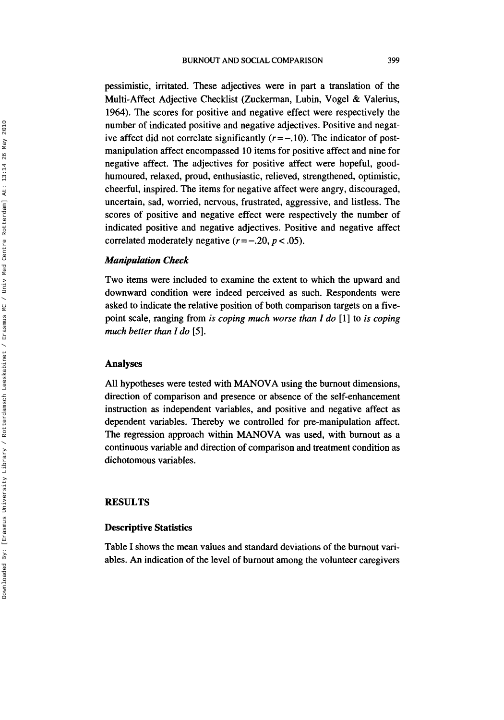pessimistic, irritated. These adjectives were in part a translation of the Multi-Affect Adjective Checklist (Zuckerman, Lubin, Vogel & Valerius, 1964). The scores for positive and negative effect were respectively the number of indicated positive and negative adjectives. Positive and negative affect did not correlate significantly  $(r = -.10)$ . The indicator of postmanipulation affect encompassed 10 items for positive affect and nine for negative affect. The adjectives for positive affect were hopeful, goodhumoured, relaxed, proud, enthusiastic, relieved, strengthened, optimistic, cheerful, inspired. The items for negative affect were angry, discouraged, uncertain, sad, worried, nervous, frustrated, aggressive, and listless. The scores of positive and negative effect were respectively the number of indicated positive and negative adjectives. Positive and negative affect correlated moderately negative  $(r=-.20, p<.05)$ .

#### *Manipulation Check*

Two items were included to examine the extent to which the upward and downward condition were indeed perceived as such. Respondents were asked to indicate the relative position of both comparison targets on a fivepoint scale, ranging from *is coping* much *worse than I do* [ **11** to *is coping*  much *better than I do [5].* 

#### **Analyses**

All hypotheses were tested with MANOVA using the burnout dimensions, direction of comparison and presence or absence of the self-enhancement instruction **as** independent variables, and positive and negative affect as dependent variables. Thereby we controlled for pre-manipulation affect. The regression approach within MANOVA was used, with burnout as a continuous variable and direction of comparison and treatment condition as dichotomous variables.

#### **RESULTS**

#### **Descriptive Statistics**

Table **I** shows the mean values and standard deviations of the burnout variables. An indication of the level of burnout among the volunteer caregivers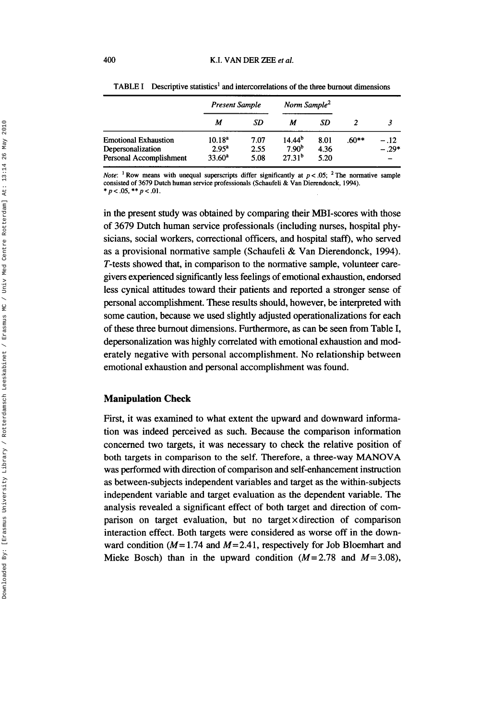|                                                                             | Present Sample                             |                      | Norm Sample <sup>2</sup>                                      |                      |         |                   |
|-----------------------------------------------------------------------------|--------------------------------------------|----------------------|---------------------------------------------------------------|----------------------|---------|-------------------|
|                                                                             | M                                          | SD                   | м                                                             | SD                   |         |                   |
| <b>Emotional Exhaustion</b><br>Depersonalization<br>Personal Accomplishment | $10.18^{a}$<br>$2.95^{\circ}$<br>$33.60^a$ | 7.07<br>2.55<br>5.08 | 14.44 <sup>b</sup><br>7.90 <sup>b</sup><br>27.31 <sup>b</sup> | 8.01<br>4.36<br>5.20 | $.60**$ | $-.12$<br>$-.29*$ |

**TABLE I** Descriptive statistics<sup>1</sup> and intercorrelations of the three burnout dimensions

Note: <sup>1</sup> Row means with unequal superscripts differ significantly at  $p < .05$ ; <sup>2</sup> The normative sample consisted of 3679 Dutch human service professionals (Schaufeli & Van Dierendonck, 1994). \* *p* < *.05,* \*\* *p* < **.Ol.** 

in the present study was obtained by comparing their MBI-scores with those of 3679 Dutch human service professionals (including nurses, hospital physicians, social workers, correctional officers, and hospital staff), who served as a provisional normative sample (Schaufeli & Van Dierendonck, 1994). T-tests showed that, in comparison to the normative sample, volunteer caregivers experienced significantly less feelings of emotional exhaustion, endorsed less cynical attitudes toward their patients and reported a stronger sense of personal accomplishment. These results should, however, be interpreted with some caution, because we used slightly adjusted operationalizations for each of these three burnout dimensions. Furthermore, **as** can be seen from Table I, depersonalization was highly correlated with emotional exhaustion and moderately negative with personal accomplishment. No relationship between emotional exhaustion and personal accomplishment was found.

#### **Manipulation Check**

First, it was examined to what extent the upward and downward information was indeed perceived as such. Because the comparison information concerned two targets, it was necessary to check the relative position of both targets in comparison to the self. Therefore, a three-way **MANOVA**  was performed with direction of comparison and self-enhancement instruction as between-subjects independent variables and target as the within-subjects independent variable and target evaluation as the dependent variable. The analysis revealed a significant effect of both target and direction of comparison on target evaluation, but no target x direction of comparison interaction effect. Both targets were considered as worse off in the downward condition ( $M = 1.74$  and  $M = 2.41$ , respectively for Job Bloemhart and Mieke Bosch) than in the upward condition  $(M=2.78$  and  $M=3.08)$ ,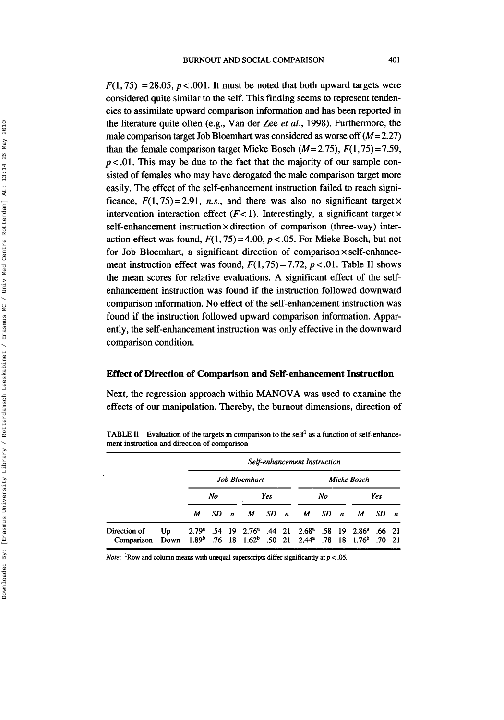$F(1,75) = 28.05$ ,  $p < .001$ . It must be noted that both upward targets were considered quite similar to the self. This finding seems to represent tendencies to assimilate upward comparison information and has been reported in the literature quite often (e.g., Van der Zee *et al.,* 1998). Furthermore, the male comparison target Job Bloemhart was considered **as** worse off *(M=* 2.27) than the female comparison target Mieke Bosch  $(M=2.75)$ ,  $F(1,75) = 7.59$ ,  $p < .01$ . This may be due to the fact that the majority of our sample consisted of females who may have derogated the male comparison target more easily. The effect of the self-enhancement instruction failed to reach significance,  $F(1,75) = 2.91$ , *n.s.*, and there was also no significant target x intervention interaction effect  $(F<1)$ . Interestingly, a significant target  $\times$ self-enhancement instruction  $\times$  direction of comparison (three-way) interaction effect was found,  $F(1,75) = 4.00$ ,  $p < .05$ . For Mieke Bosch, but not for Job Bloemhart, a significant direction of comparison  $\times$  self-enhancement instruction effect was found,  $F(1,75) = 7.72$ ,  $p < .01$ . Table II shows the mean scores for relative evaluations. A significant effect of the selfenhancement instruction was found if the instruction followed downward comparison information. No effect of the self-enhancement instruction was found if the instruction followed upward comparison information. Apparently, the self-enhancement instruction was only effective in the downward comparison condition.

#### **Effect of Direction of Comparison and Self-enhancement Instruction**

Next, the regression approach within MANOVA was used to examine the effects of our manipulation. Thereby, the burnout dimensions, direction of

|                                                                                                 |    | Self-enhancement Instruction                                    |           |  |     |  |             |                   |     |  |  |  |  |
|-------------------------------------------------------------------------------------------------|----|-----------------------------------------------------------------|-----------|--|-----|--|-------------|-------------------|-----|--|--|--|--|
|                                                                                                 |    | Job Bloemhart                                                   |           |  |     |  | Mieke Bosch |                   |     |  |  |  |  |
|                                                                                                 |    | No                                                              |           |  | Yes |  | No          |                   | Yes |  |  |  |  |
|                                                                                                 |    | м                                                               | $SD \t n$ |  |     |  |             | MSD n MSD n MSD n |     |  |  |  |  |
| Direction of<br>Comparison Down $1.89^b$ .76 18 $1.62^b$ .50 21 $2.44^a$ .78 18 $1.76^b$ .70 21 | Up | $2.79^a$ .54 19 $2.76^a$ .44 21 $2.68^a$ .58 19 $2.86^a$ .66 21 |           |  |     |  |             |                   |     |  |  |  |  |

**TABLE I1 Evaluation of the targets in comparison to the self' as a function of self-enhancement instruction and direction of comparison** 

*Note:* <sup>1</sup>Row and column means with unequal superscripts differ significantly at  $p < .05$ .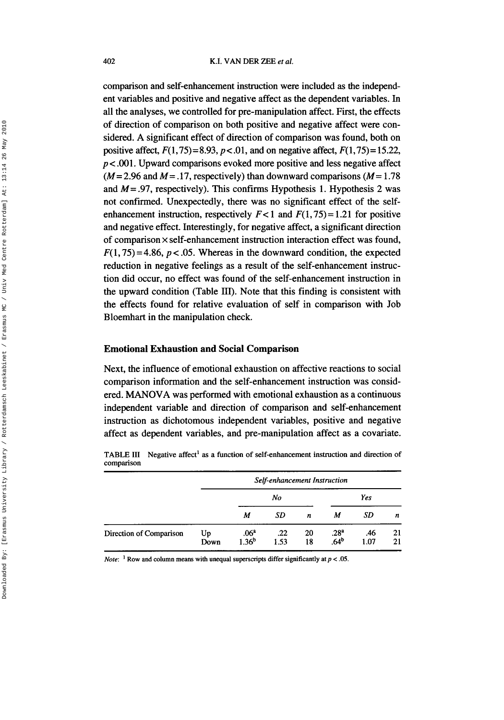comparison and self-enhancement instruction were included **as** the independent variables and positive and negative affect as the dependent variables. In all the analyses, we controlled for pre-manipulation affect. First, the effects of direction of comparison on both positive and negative affect were considered. A significant effect of direction of comparison was found, both on positive affect,  $F(1,75) = 8.93, p < .01$ , and on negative affect,  $F(1,75) = 15.22$ , *p<* **.001.** Upward comparisons evoked more positive and less negative affect  $(M=2.96$  and  $M=1.17$ , respectively) than downward comparisons  $(M=1.78)$ and *M=* **.97,** respectively). This confirms Hypothesis **1.** Hypothesis **2** was not confirmed. Unexpectedly, there was no significant effect of the selfenhancement instruction, respectively  $F < 1$  and  $F(1, 75) = 1.21$  for positive and negative effect. Interestingly, for negative affect, a significant direction of comparison  $\times$  self-enhancement instruction interaction effect was found,  $F(1,75) = 4.86$ ,  $p < .05$ . Whereas in the downward condition, the expected reduction in negative feelings as a result of the self-enhancement instruction did occur, no effect was found of the self-enhancement instruction in the upward condition (Table 111). Note that this finding is consistent with the effects found for relative evaluation of self in comparison with Job Bloemhart in the manipulation check.

#### **Emotional Exhaustion and Social Comparison**

Next, the influence of emotional exhaustion on affective reactions to social comparison information and the self-enhancement instruction was considered. **MANOVA** was performed with emotional exhaustion as a continuous independent variable and direction of comparison and self-enhancement instruction as dichotomous independent variables, positive and negative affect as dependent variables, and pre-manipulation affect as a covariate.

|                         |            | Self-enhancement Instruction          |             |          |                                      |             |          |  |  |
|-------------------------|------------|---------------------------------------|-------------|----------|--------------------------------------|-------------|----------|--|--|
|                         |            |                                       | No          | Yes      |                                      |             |          |  |  |
|                         |            | М                                     | SD          | n        | M                                    | SD          | n        |  |  |
| Direction of Comparison | Up<br>Down | .06 <sup>a</sup><br>1.36 <sup>b</sup> | .22<br>1.53 | 20<br>18 | .28 <sup>a</sup><br>.64 <sup>b</sup> | .46<br>1.07 | 21<br>21 |  |  |

**TABLE I11 Negative affect' as a function of self-enhancement instruction and direction of comparison** 

*Note*: <sup>1</sup> Row and column means with unequal superscripts differ significantly at  $p < .05$ .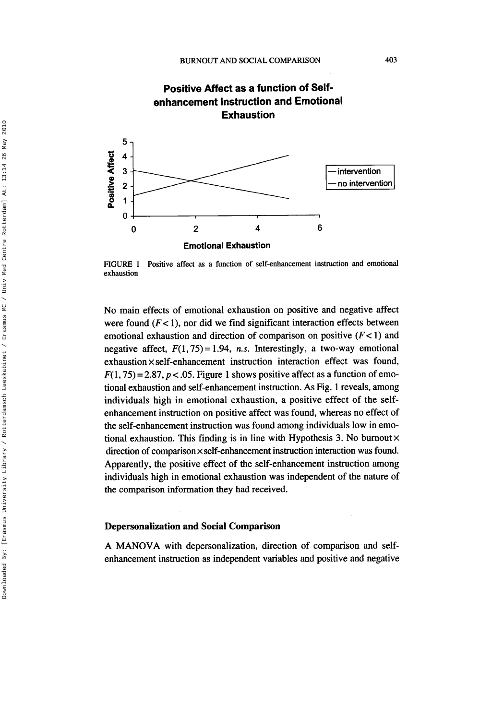

**FIGURE** 1 exhaustion Positive affect **as** a function of self-enhancement instruction and emotional

No main effects of emotional exhaustion on positive and negative affect were found  $(F<1)$ , nor did we find significant interaction effects between emotional exhaustion and direction of comparison on positive  $(F<1)$  and negative affect,  $F(1,75) = 1.94$ , *n.s.* Interestingly, a two-way emotional exhaustion x self-enhancement instruction interaction effect was found,  $F(1,75) = 2.87$ ,  $p < .05$ . Figure 1 shows positive affect as a function of emotional exhaustion and self-enhancement instruction. As Fig. 1 reveals, among individuals high in emotional exhaustion, a positive effect of the selfenhancement instruction on positive affect was found, whereas no effect of the self-enhancement instruction was found among individuals low in emotional exhaustion. This finding is in line with Hypothesis 3. No burnout  $\times$ direction of comparison x self-enhancement instruction interaction was found. Apparently, the positive effect of the self-enhancement instruction among individuals high in emotional exhaustion was independent of the nature of the comparison information they had received.

#### **Depersonalization and Social Comparison**

A MANOVA with depersonalization, direction of comparison and selfenhancement instruction as independent variables and positive and negative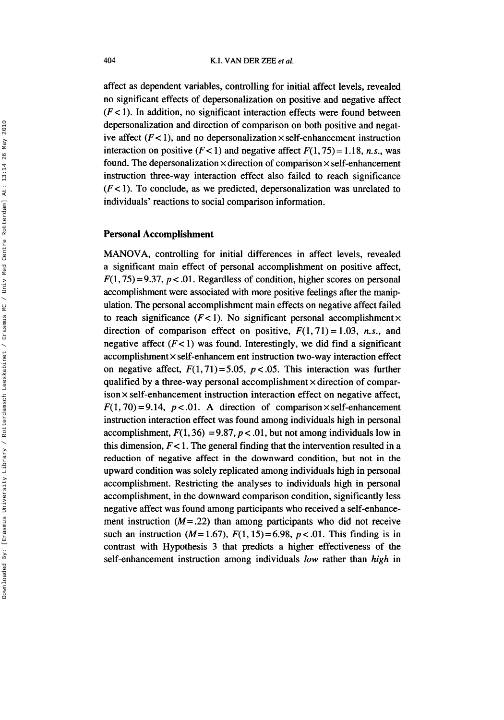affect as dependent variables, controlling for initial affect levels, revealed no significant effects of depersonalization on positive and negative affect  $(F< 1)$ . In addition, no significant interaction effects were found between depersonalization and direction of comparison on both positive and negative affect  $(F<1)$ , and no depersonalization  $\times$  self-enhancement instruction interaction on positive  $(F<1)$  and negative affect  $F(1,75)=1.18$ , *n.s.*, was found. The depersonalization  $\times$  direction of comparison  $\times$  self-enhancement instruction three-way interaction effect also failed to reach significance  $(F < 1)$ . To conclude, as we predicted, depersonalization was unrelated to individuals' reactions to social comparison information.

#### **Personal Accomplishment**

**MANOVA,** controlling for initial differences in affect levels, revealed a significant main effect of personal accomplishment on positive affect,  $F(1,75) = 9.37$ ,  $p < .01$ . Regardless of condition, higher scores on personal accomplishment were associated with more positive feelings after the manipulation. The personal accomplishment main effects on negative affect failed to reach significance  $(F< 1)$ . No significant personal accomplishment  $\times$ direction of comparison effect on positive,  $F(1,71) = 1.03$ , *n.s.*, and negative affect  $(F<1)$  was found. Interestingly, we did find a significant accomplishment **x** self-enhancem ent instruction two-way interaction effect on negative affect,  $F(1,71) = 5.05$ ,  $p < .05$ . This interaction was further qualified by a three-way personal accomplishment **x** direction of comparison **x** self-enhancement instruction interaction effect on negative affect,  $F(1,70) = 9.14$ ,  $p < .01$ . A direction of comparison  $\times$  self-enhancement instruction interaction effect was found among individuals high in personal accomplishment,  $F(1,36) = 9.87$ ,  $p < .01$ , but not among individuals low in this dimension,  $F<1$ . The general finding that the intervention resulted in a reduction of negative affect in the downward condition, but not in the upward condition was solely replicated among individuals high in personal accomplishment. Restricting the analyses to individuals high in personal accomplishment, in the downward comparison condition, significantly less negative affect was found among participants who received a self-enhancement instruction  $(M=0.22)$  than among participants who did not receive such an instruction ( $M= 1.67$ ),  $F(1,15)=6.98$ ,  $p < .01$ . This finding is in contrast with Hypothesis 3 that predicts a higher effectiveness of the self-enhancement instruction among individuals *low* rather than high in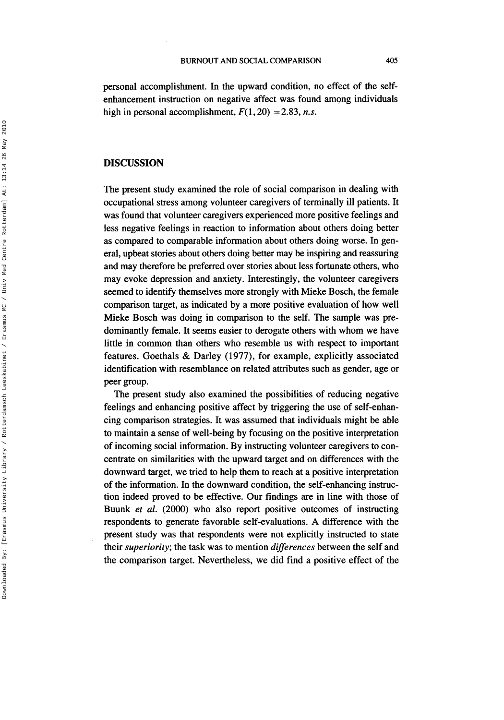personal accomplishment. In the upward condition, no effect of the selfenhancement instruction on negative affect was found among individuals high in personal accomplishment,  $F(1,20) = 2.83$ , *n.s.* 

#### **DISCUSSION**

The present study examined the role of social comparison in dealing with occupational stress among volunteer caregivers of terminally ill patients. It was found that volunteer caregivers experienced more positive feelings and less negative feelings in reaction to information about others doing better as compared to comparable information about others doing worse. In general, upbeat stories about others doing better may be inspiring and reassuring and may therefore be preferred over stories about less fortunate others, who may evoke depression and anxiety. Interestingly, the volunteer caregivers seemed to identify themselves more strongly with Mieke Bosch, the female comparison target, as indicated by a more positive evaluation of how well Mieke Bosch was doing in comparison to the self. The sample was predominantly female. It seems easier to derogate others with whom we have little in common than others who resemble us with respect to important features. Goethals & Darley (1977), for example, explicitly associated identification with resemblance on related attributes such as gender, age or peer group.

The present study also examined the possibilities of reducing negative feelings and enhancing positive affect by triggering the use of self-enhancing comparison strategies. It was assumed that individuals might be able to maintain a sense of well-being by focusing on the positive interpretation of incoming social information. By instructing volunteer caregivers to concentrate on similarities with the upward target and on differences with the downward target, we tried to help them to reach at a positive interpretation of the information. In the downward condition, the self-enhancing instruction indeed proved to be effective. Our findings are in line with those of Buunk *et al.* (2000) who also report positive outcomes of instructing respondents to generate favorable self-evaluations. A difference with the present study was that respondents were not explicitly instructed to state their *superiority*; the task was to mention *differences* between the self and the comparison target. Nevertheless, we did find a positive effect of the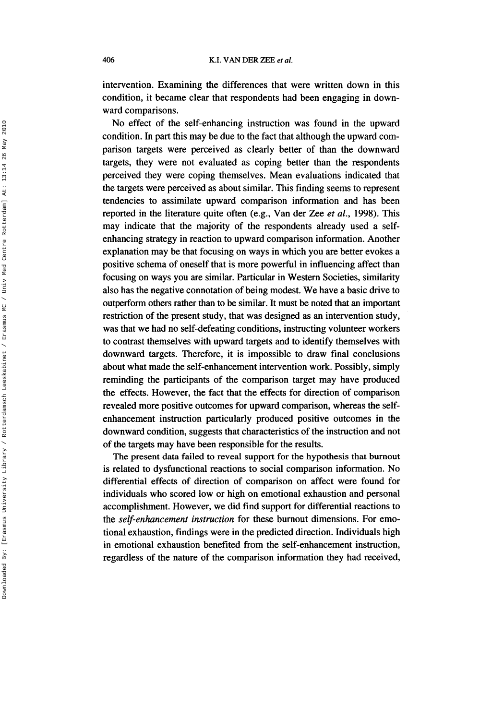intervention. Examining the differences that were written down in this condition, it became clear that respondents had been engaging in downward comparisons.

No effect of the self-enhancing instruction was found in the upward condition. In part this may be due to the fact that although the upward comparison targets were perceived as clearly better of than the downward targets, they were not evaluated as coping better than the respondents perceived they were coping themselves. Mean evaluations indicated that the targets were perceived as about similar. This finding seems to represent tendencies to assimilate upward comparison information and has been reported in the literature quite often (e.g., Van der Zee *et al.,* 1998). This may indicate that the majority of the respondents already used a selfenhancing strategy in reaction to upward comparison information. Another explanation may be that focusing on ways in which you are better evokes a positive schema of oneself that is more powerful in influencing affect than focusing on ways you are similar. Particular in Western Societies, similarity also has the negative connotation of being modest. We have a basic drive to outperform others rather than to be similar. It must be noted that **an** important restriction of the present study, that was designed as **an** intervention study, was that we had no self-defeating conditions, instructing volunteer workers to contrast themselves with upward targets and to identify themselves with downward targets. Therefore, it is impossible to draw final conclusions about what made the self-enhancement intervention work. Possibly, simply reminding the participants of the Comparison target may have produced the effects. However, the fact that the effects for direction of comparison revealed more positive outcomes for upward comparison, whereas the selfenhancement instruction particularly produced positive outcomes in the downward condition, suggests that characteristics of the instruction and not of the targets may have been responsible for the results.

The present data failed to reveal support for the hypothesis that burnout is related to dysfunctional reactions to social comparison information. No differential effects of direction of comparison on affect were found for individuals who scored low or high on emotional exhaustion and personal accomplishment. However, we did find support for differential reactions to the self-enhancement instruction for these burnout dimensions. For emotional exhaustion, findings were in the predicted direction. Individuals high in emotional exhaustion benefited from the self-enhancement instruction, regardless of the nature of the comparison information they had received,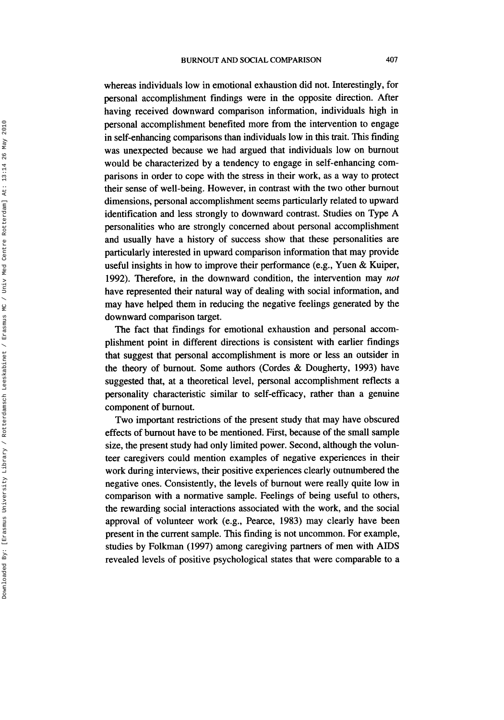whereas individuals low in emotional exhaustion did not. Interestingly, for personal accomplishment findings were in the opposite direction. After having received downward comparison information, individuals high in personal accomplishment benefited more from the intervention to engage in self-enhancing comparisons than individuals low in this trait. This finding was unexpected because we had argued that individuals low on burnout would be characterized by a tendency to engage in self-enhancing comparisons in order to cope with the stress in their work, as a way to protect their sense of well-being. However, in contrast with the two other burnout dimensions, personal accomplishment seems particularly related to upward identification and less strongly to downward contrast. Studies on Type A personalities who are strongly concerned about personal accomplishment and usually have a history of success show that these personalities are particularly interested in upward comparison information that may provide useful insights in how to improve their performance (e.g., Yuen & Kuiper, **1992).** Therefore, in the downward condition, the intervention may not have represented their natural way of dealing with social information, and may have helped them in reducing the negative feelings generated by the downward comparison target.

The fact that findings for emotional exhaustion and personal accomplishment point in different directions is consistent with earlier findings that suggest that personal accomplishment is more or less an outsider in the theory of burnout. Some authors (Cordes & Dougherty, **1993)** have suggested that, at a theoretical level, personal accomplishment reflects a personality characteristic similar to self-efficacy, rather than a genuine component of burnout.

Two important restrictions of the present study that may have obscured effects of bumout have to be mentioned. First, because of the small sample size, the present study had only limited power. Second, although the volunteer caregivers could mention examples of negative experiences in their work during interviews, their positive experiences clearly outnumbered the negative ones. Consistently, the levels of burnout were really quite low in comparison with a normative sample. Feelings of being useful to others, the rewarding social interactions associated with the work, and the social approval of volunteer work (e.g., Pearce, **1983)** may clearly have been present in the current sample. This finding is not uncommon. For example, studies by Folkman **(1997)** among caregiving partners of men with AIDS revealed levels of positive psychological states that were comparable to a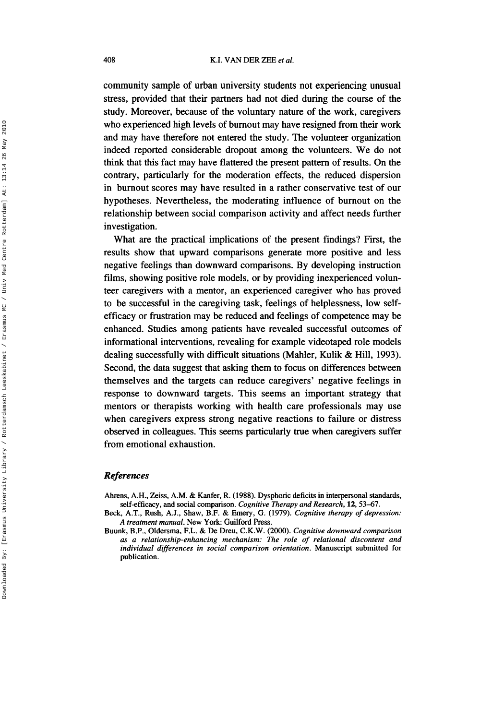community sample of urban university students not experiencing unusual stress, provided that their partners had not died during the course of the study. Moreover, because of the voluntary nature of the work, caregivers who experienced high levels of burnout may have resigned from their work and may have therefore not entered the study. The volunteer organization indeed reported considerable dropout among the volunteers. We do not think that this fact may have flattered the present pattern of results. On the contrary, particularly for the moderation effects, the reduced dispersion in burnout scores may have resulted in a rather conservative test of our hypotheses. Nevertheless, the moderating influence of burnout on the relationship between social comparison activity and affect needs further investigation.

What are the practical implications of the present findings? First, the results show that upward comparisons generate more positive and less negative feelings than downward comparisons. By developing instruction films, showing positive role models, or by providing inexperienced volunteer caregivers with a mentor, an experienced caregiver who has proved to be successful in the caregiving task, feelings of helplessness, low selfefficacy or frustration may be reduced and feelings of competence may be enhanced. Studies among patients have revealed successful outcomes of informational interventions, revealing for example videotaped role models dealing successfully with difficult situations (Mahler, Kulik & Hill, 1993). Second, the data suggest that asking them to focus on differences between themselves and the targets can reduce caregivers' negative feelings in response to downward targets. This seems an important strategy that mentors or therapists working with health care professionals may use when caregivers express strong negative reactions to failure or distress observed in colleagues. This seems particularly true when caregivers suffer from emotional exhaustion.

#### *References*

- **Ahrens, A.H., Zeiss, A.M.** & **Kanfer, R. (1988). Dysphoric deficits in interpersonal standards,**  self-efficacy, and social comparison. *Cognitive Therapy and Research*, 12, 53–67.
- **Beck, A.T., Rush, A.J., Shaw, B.F.** & **Emery,** *G.* **(1979).** *Cognitive therapy of depression: A treatment manual.* **New York Guilford Press.**
- **Buunk, B.P., Oldersma, F.L.** & **De Dreu, C.K.W. (2000).** *Cognitive downward comparison as a relationship-enhancing mechanism: The role of relarional discontent and individual differences in social comparison orientation.* **Manuscript submitted for publication.**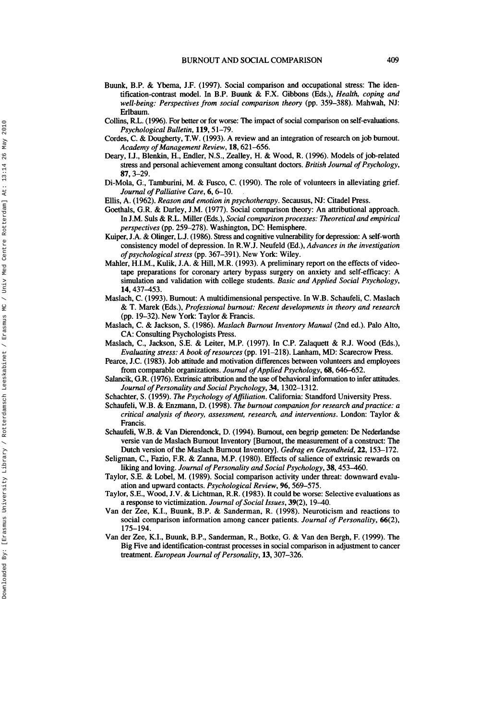- Buunk, B.P. & Ybema, J.F. **(1997).** Social comparison and occupational stress: The identification-contrast model. In B.P. Buunk & F.X. Gibbons (Eds.), *Health, coping and well-being: Perspectives from social comparison theory* (pp. **359-388).** Mahwah, NJ: Erlbaum.
- Collins, R.L. (1996). For better or for worse: The impact of social comparison on self-evaluations. *Psychological Bulletin,* **119.51-79.**
- Cordes, *C.* & Dougherty, T.W. **(1993).** A review and an integration of research on job bumout. *Academy of Management Review,* **18,621-656.**
- *Deary,* I.J., Blenkin, H., Endler, N.S., Zealley, **H.** & Wood, R. **(19%).** Models of job-related stress and personal achievement among consultant doctors. *British Journal of Psychology,*  **87,3-29.**
- Di-Mola, *G.,* Tamburini, M. & Fusco, C. **(1990).** The role of volunteers in alleviating grief. *Journal of Palliative Care,* 6, 6-10.
- Ellis, A. **(1962).** *Reason and emotion in psychotherapy.* Secausus, NJ: Citadel Press.
- Goethals, G.R. & Darley, J.M. **(1977).** Social comparison theory: An attributional approach. In J.M. Suls & R.L. Miller (Eds.), *Social comparison processes: Theoretical and empirical perspectives* (pp. 259–278). Washington, DC: Hemisphere.
- Kuiper, J.A. & **Olinger, LJ. (1986).** Stress and cognitive vulnerabiity for depression: A self-worth consistency model of depression. In R.W.J. Neufeld (Ed.), *Advances in the investigation*  of psychological stress (pp. 367-391). New York: Wiley.
- Mahler, H.I.M., Kulik, J.A. & Hill, M.R. **(1993).** A preliminary report on the effects of videotape preparations for coronary artery bypass surgery on anxiety and self-efficacy: A simulation and validation with college students. *Basic and Applied Social Psychology,*  **14,** 437–453.
- Maslach, C. **(1993).** Burnout: A multidimensional perspective. In W.B. Schaufeli, C. Maslach & T. Marek **(Eds.),** *Professional burnout: Recent developments in theory and research*  (pp. **19-32).** New York: Taylor & Francis.
- Maslach, C. & Jackson, S. **(1986).** *Maslach Burnout Inventory Manual* (2nd *ed.).* Palo Alto, CA: Consulting Psychologists Press.
- Maslach, C., Jackson, S.E. & Leiter, M.P. (1997). In C.P. Zalaquett & R.J. Wood (Eds.), *Evaluating stress: A book of resources* (pp. **191-218).** Lanham, *MD:* Scarecrow Press.
- Pearce, J.C. **(1983).** Job attitude and motivation differences between volunteers and employees from comparable organizations. *Journal of Applied Psychology*, 68, 646–652.
- **Salancik,** G.R. **(1976).** Extrinsic attribution and the use of behavioral information to infer attitudes. *Journal of Personality and Social Psychology,* **34,1302-1312.**
- Schachter, *S.* **(1959).** *The Psychology of Afiliation.* California: Standford University Press.
- Schaufeli, W.B. & Enzmann, D. **(1998).** *The burnout companion for research andpractice: a critical analysis of theory, assessment, research, and interventions.* London: Taylor & Francis.
- Schaufeli, W.B. & Van Dierendonck, D. **(1994).** Burnout, een begrip gemeten: **De** Nederlandse versie van de Maslach Burnout Inventory [Burnout, the measurement of a construct: The Dutch version of the Maslach Burnout Inventory]. *Gedrag en Gezondheid, 22,* **153-172.**
- Seligman, C., Fazio, **F.R.** & **Zanna,** M.P. **(1980).** Effects of salience of extrinsic rewards on liking and loving. *Journal of Personality and Social Psychology*, 38, 453-460.
- Taylor, S.E. & Lobel, M. **(1989).** Social comparison activity under threat: downward evaluation and upward contacts. *Psychological Review,* **96,569-575.**
- Taylor, S.E., Wood, **J.V.** & Lichtman, R.R. **(1983).** It could be worse: Selective evaluations as a response to victimization. *Journal of Social Issues,* **39(2), 19-40.**
- Van der Zee, K.I., Buunk, B.P. & Sanderman, R. **(1998).** Neuroticism and reactions to social comparison information among cancer patients. *Journal* of *Personalify,* **66(2), 175-194.**
- Van der Zee, K.I., Buunk, B.P., Sanderman, R., Botke, G. & Van den Bergh, F. **(1999).** The Big Five and identification-contrast processes in social comparison in adjustment to cancer treatment. *European Journal of Personality*, 13, 307-326.